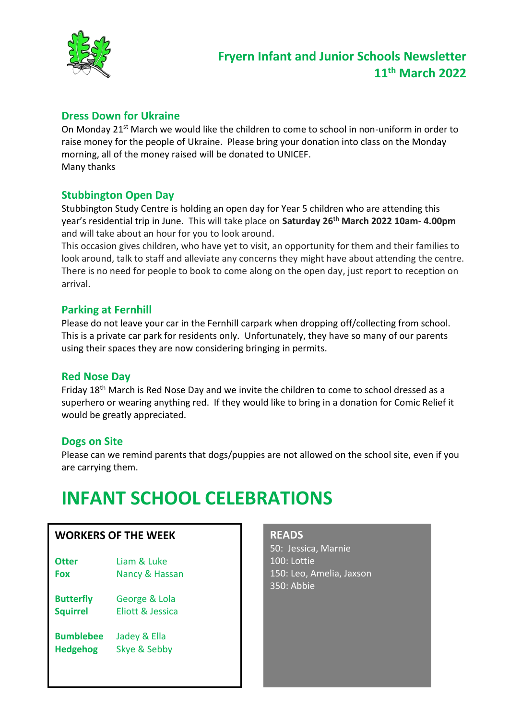

# **Dress Down for Ukraine**

On Monday 21<sup>st</sup> March we would like the children to come to school in non-uniform in order to raise money for the people of Ukraine. Please bring your donation into class on the Monday morning, all of the money raised will be donated to UNICEF. Many thanks

## **Stubbington Open Day**

Stubbington Study Centre is holding an open day for Year 5 children who are attending this year's residential trip in June. This will take place on **Saturday 26th March 2022 10am- 4.00pm** and will take about an hour for you to look around.

This occasion gives children, who have yet to visit, an opportunity for them and their families to look around, talk to staff and alleviate any concerns they might have about attending the centre. There is no need for people to book to come along on the open day, just report to reception on arrival.

## **Parking at Fernhill**

Please do not leave your car in the Fernhill carpark when dropping off/collecting from school. This is a private car park for residents only. Unfortunately, they have so many of our parents using their spaces they are now considering bringing in permits.

## **Red Nose Day**

Friday 18th March is Red Nose Day and we invite the children to come to school dressed as a superhero or wearing anything red. If they would like to bring in a donation for Comic Relief it would be greatly appreciated.

## **Dogs on Site**

Please can we remind parents that dogs/puppies are not allowed on the school site, even if you are carrying them.

# **INFANT SCHOOL CELEBRATIONS**

## **WORKERS OF THE WEEK**

- **Otter** Liam & Luke **Fox** Nancy & Hassan
- **Butterfly** George & Lola **Squirrel** Eliott & Jessica
- **Bumblebee** Jadey & Ella **Hedgehog** Skye & Sebby

#### **READS**

50: Jessica, Marnie 100: Lottie 150: Leo, Amelia, Jaxson 350: Abbie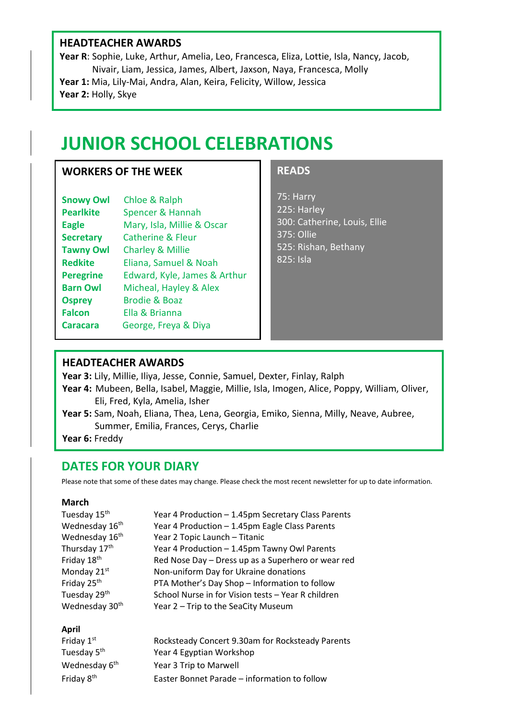## **HEADTEACHER AWARDS**

**Year R**: Sophie, Luke, Arthur, Amelia, Leo, Francesca, Eliza, Lottie, Isla, Nancy, Jacob, Nivair, Liam, Jessica, James, Albert, Jaxson, Naya, Francesca, Molly **Year 1:** Mia, Lily-Mai, Andra, Alan, Keira, Felicity, Willow, Jessica **Year 2:** Holly, Skye

# **JUNIOR SCHOOL CELEBRATIONS**

### **WORKERS OF THE WEEK**

| <b>Snowy Owl</b> | Chloe & Ralph                |  |
|------------------|------------------------------|--|
| <b>Pearlkite</b> | <b>Spencer &amp; Hannah</b>  |  |
| <b>Eagle</b>     | Mary, Isla, Millie & Oscar   |  |
| <b>Secretary</b> | <b>Catherine &amp; Fleur</b> |  |
| <b>Tawny Owl</b> | <b>Charley &amp; Millie</b>  |  |
| <b>Redkite</b>   | Eliana, Samuel & Noah        |  |
| <b>Peregrine</b> | Edward, Kyle, James & Arthur |  |
| <b>Barn Owl</b>  | Micheal, Hayley & Alex       |  |
| <b>Osprey</b>    | <b>Brodie &amp; Boaz</b>     |  |
| <b>Falcon</b>    | Ella & Brianna               |  |
| <b>Caracara</b>  | George, Freya & Diya         |  |
|                  |                              |  |

### **READS**

75: Harry 225: Harley 300: Catherine, Louis, Ellie 375: Ollie 525: Rishan, Bethany 825: Isla

### **HEADTEACHER AWARDS**

**Year 3:** Lily, Millie, Iliya, Jesse, Connie, Samuel, Dexter, Finlay, Ralph

**Year 4:** Mubeen, Bella, Isabel, Maggie, Millie, Isla, Imogen, Alice, Poppy, William, Oliver, Eli, Fred, Kyla, Amelia, Isher

**Year 5:** Sam, Noah, Eliana, Thea, Lena, Georgia, Emiko, Sienna, Milly, Neave, Aubree, Summer, Emilia, Frances, Cerys, Charlie

**Year 6:** Freddy

## **DATES FOR YOUR DIARY**

Please note that some of these dates may change. Please check the most recent newsletter for up to date information.

#### **March**

| Tuesday 15 <sup>th</sup>   | Year 4 Production - 1.45pm Secretary Class Parents |
|----------------------------|----------------------------------------------------|
| Wednesday 16th             | Year 4 Production - 1.45pm Eagle Class Parents     |
| Wednesday 16 <sup>th</sup> | Year 2 Topic Launch - Titanic                      |
| Thursday 17th              | Year 4 Production - 1.45pm Tawny Owl Parents       |
| Friday 18th                | Red Nose Day - Dress up as a Superhero or wear red |
| Monday 21st                | Non-uniform Day for Ukraine donations              |
| Friday 25th                | PTA Mother's Day Shop - Information to follow      |
| Tuesday 29 <sup>th</sup>   | School Nurse in for Vision tests - Year R children |
| Wednesday 30 <sup>th</sup> | Year 2 - Trip to the SeaCity Museum                |
|                            |                                                    |

### **April**

| Friday 1st                | Rocksteady Concert 9.30am for Rocksteady Parents |
|---------------------------|--------------------------------------------------|
| Tuesday 5 <sup>th</sup>   | Year 4 Egyptian Workshop                         |
| Wednesday 6 <sup>th</sup> | Year 3 Trip to Marwell                           |
| Friday 8 <sup>th</sup>    | Easter Bonnet Parade - information to follow     |